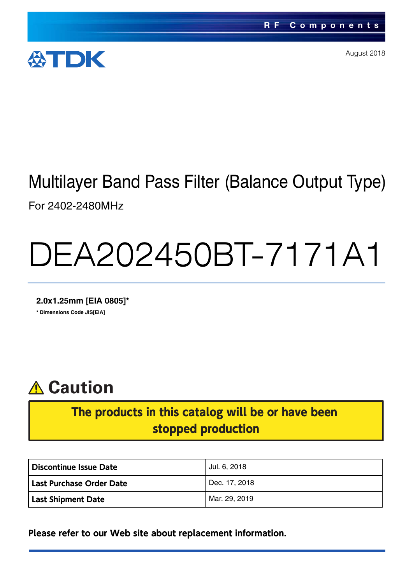

August 2018

# Multilayer Band Pass Filter (Balance Output Type) For 2402-2480MHz

# DEA202450BT-7171A1

**2.0x1.25mm [EIA 0805]\* \* Dimensions Code JIS[EIA]**



### The products in this catalog will be or have been stopped production

| Discontinue Issue Date          | Jul. 6, 2018  |
|---------------------------------|---------------|
| <b>Last Purchase Order Date</b> | Dec. 17, 2018 |
| <b>Last Shipment Date</b>       | Mar. 29, 2019 |

**Please refer to our Web site about replacement information.**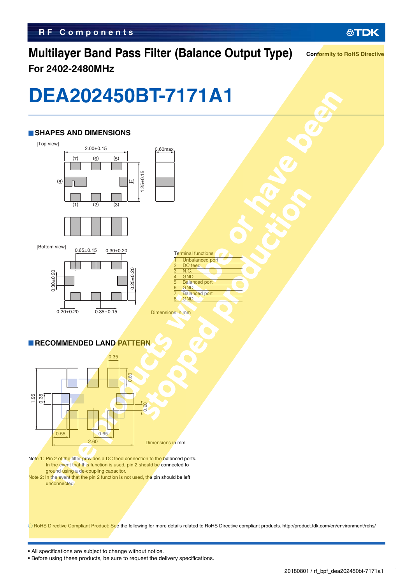### **Multilayer Band Pass Filter (Balance Output Type) For 2402-2480MHz**

**Conformity to RoHS Directive**

## **DEA202450BT-7171A1**

#### **SHAPES AND DIMENSIONS**







|                           | <b>Terminal functions</b> |
|---------------------------|---------------------------|
| 1                         | <b>Unbalanced port</b>    |
| $\overline{2}$            | DC feed                   |
| $\overline{\overline{3}}$ | N.C.                      |
| 4                         | <b>GND</b>                |
| $\overline{5}$            | <b>Balanced port</b>      |
| $\overline{6}$            | <b>GND</b>                |
| 7                         | <b>Balanced port</b>      |
| ۶                         | <b>GND</b>                |

Dimensions in mm

#### **RECOMMENDED LAND PATTERN**



- Note 1: Pin 2 of the filter provides a DC feed connection to the balanced ports. In the event that this function is used, pin 2 should be connected to ground using a de-coupling capacitor.
- Note 2: In the event that the pin 2 function is not used, the pin should be left unconnected.

RoHS Directive Compliant Product: See the following for more details related to RoHS Directive compliant products. http://product.tdk.com/en/environment/rohs/

• All specifications are subject to change without notice.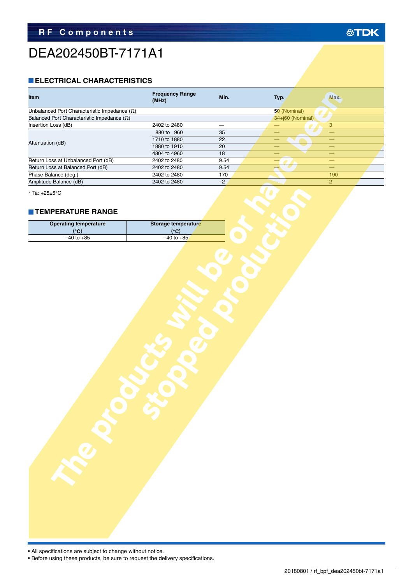### DEA202450BT-7171A1

#### **ELECTRICAL CHARACTERISTICS**

| <b>Item</b>                                         | <b>Frequency Range</b><br>(MHz) | Min.                     | Typ.                     | Max.                     |  |
|-----------------------------------------------------|---------------------------------|--------------------------|--------------------------|--------------------------|--|
| Unbalanced Port Characteristic Impedance $(\Omega)$ |                                 |                          | 50 (Nominal)             |                          |  |
| Balanced Port Characteristic Impedance $(\Omega)$   |                                 |                          | 34+j60 (Nominal)         |                          |  |
| Insertion Loss (dB)                                 | 2402 to 2480                    | $\overline{\phantom{0}}$ | —                        | $\overline{3}$           |  |
|                                                     | 880 to 960                      | 35                       | —                        | $\equiv$                 |  |
| Attenuation (dB)                                    | 1710 to 1880                    | 22                       | —                        |                          |  |
|                                                     | 1880 to 1910                    | $\overline{20}$          | $\overline{\phantom{0}}$ | $\overline{\phantom{0}}$ |  |
|                                                     | 4804 to 4960                    | 18                       |                          |                          |  |
| Return Loss at Unbalanced Port (dB)                 | 2402 to 2480                    | 9.54                     |                          | $\overline{\phantom{0}}$ |  |
| Return Loss at Balanced Port (dB)                   | 2402 to 2480                    | 9.54                     |                          | $\overline{\phantom{0}}$ |  |
| Phase Balance (deg.)                                | 2402 to 2480                    | 170                      |                          | 190                      |  |
| Amplitude Balance (dB)                              | 2402 to 2480                    | $-2$                     |                          | $\overline{2}$           |  |
| $\cdot$ Ta: +25±5°C<br><b>TEMPERATURE RANGE</b>     |                                 |                          |                          |                          |  |
| <b>Operating temperature</b>                        | Storage temperature             |                          |                          |                          |  |
| (°C)                                                | $(^\circ \text{C})$             |                          |                          |                          |  |
| $-40$ to $+85$                                      | $-40$ to $+85$                  |                          |                          |                          |  |
|                                                     |                                 |                          |                          |                          |  |

#### **TEMPERATURE RANGE**

| $\cdot$ Ta: +25±5°C          |                     |  |
|------------------------------|---------------------|--|
| <b>TEMPERATURE RANGE</b>     |                     |  |
| <b>Operating temperature</b> | Storage temperature |  |
| $(^{\circ}C)$                | $(^{\circ}C)$       |  |
| $-40$ to $+85$               | $-40$ to $+85$      |  |
|                              |                     |  |
|                              |                     |  |
|                              |                     |  |
|                              |                     |  |

• All specifications are subject to change without notice.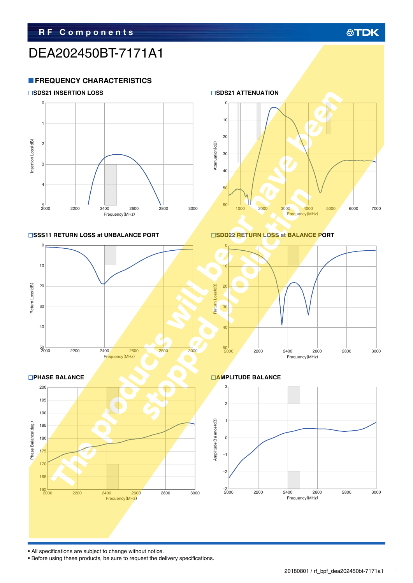### DEA202450BT-7171A1

#### **FREQUENCY CHARACTERISTICS**





#### ■SSS11 RETURN LOSS at UNBALANCE PORT
■SDD22 RETURN LOSS at BALANCE PORT











• All specifications are subject to change without notice.

• Before using these products, be sure to request the delivery specifications.

### **公TDK**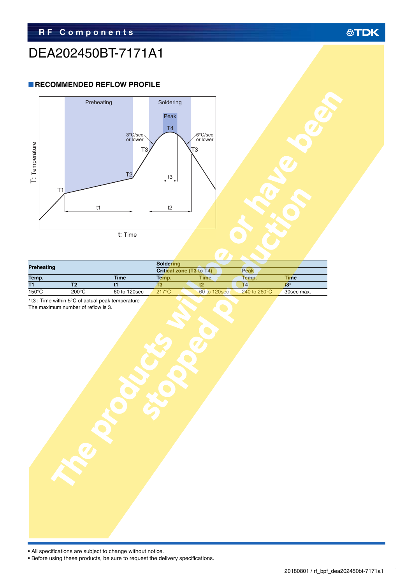### DEA202450BT-7171A1

#### **RECOMMENDED REFLOW PROFILE**



| <b>Preheating</b> |                 | <b>Soldering</b> |                 |                          |                         |            |
|-------------------|-----------------|------------------|-----------------|--------------------------|-------------------------|------------|
|                   |                 |                  |                 | Critical zone (T3 to T4) | Peak                    |            |
| Temp.             |                 | <b>Time</b>      | Temp.           | <b>Time</b>              | Temp.                   | Time       |
| T1                |                 |                  |                 |                          | T4                      |            |
| $150^{\circ}$ C   | $200^{\circ}$ C | 60 to 120sec     | $217^{\circ}$ C | 60 to 120sec             | 240 to 260 $^{\circ}$ C | 30sec max. |

The maximum number of reflow is 3.



| I: Iemperature | T1        | Preheating<br>t1         | 3°C/sec<br>T <sub>3</sub><br>T <sub>2</sub><br>t: Time | Soldering<br>Peak<br>T <sub>4</sub><br>t3<br>$t2$ | 6°C/sec<br>or lower<br>T3     |                         |                           |  |
|----------------|-----------|--------------------------|--------------------------------------------------------|---------------------------------------------------|-------------------------------|-------------------------|---------------------------|--|
|                |           |                          |                                                        | Soldering                                         |                               |                         |                           |  |
|                | reheating |                          |                                                        | Critical zone (T3 to T4)                          |                               | Peak                    |                           |  |
| emp.           |           | $\overline{\mathsf{T2}}$ | <b>Time</b><br>$\overline{t}$                          | Temp.<br>$\overline{T3}$                          | <b>Time</b><br>$\overline{t}$ | Temp.<br>T <sub>4</sub> | Time<br>$\overline{13^*}$ |  |
| $50^{\circ}$ C |           | $200^{\circ}$ C          | 60 to 120sec                                           | $217^{\circ}$ C                                   | 60 to 120sec                  | 240 to 260°C            | 30sec max.                |  |
|                |           |                          |                                                        |                                                   |                               |                         |                           |  |

• All specifications are subject to change without notice.

ŕ